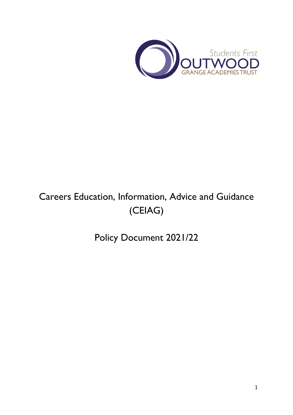

# Careers Education, Information, Advice and Guidance (CEIAG)

Policy Document 2021/22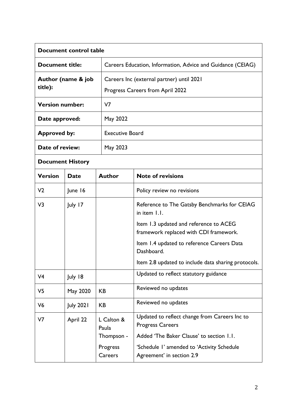| Document control table        |                  |                     |                                                                                  |  |
|-------------------------------|------------------|---------------------|----------------------------------------------------------------------------------|--|
| <b>Document title:</b>        |                  |                     | Careers Education, Information, Advice and Guidance (CEIAG)                      |  |
| Author (name & job<br>title): |                  |                     | Careers Inc (external partner) until 2021                                        |  |
|                               |                  |                     | Progress Careers from April 2022                                                 |  |
| <b>Version number:</b>        |                  | V <sub>7</sub>      |                                                                                  |  |
| Date approved:                |                  | May 2022            |                                                                                  |  |
| <b>Approved by:</b>           |                  |                     | <b>Executive Board</b>                                                           |  |
| Date of review:               |                  | May 2023            |                                                                                  |  |
| <b>Document History</b>       |                  |                     |                                                                                  |  |
| <b>Version</b>                | <b>Date</b>      | <b>Author</b>       | <b>Note of revisions</b>                                                         |  |
| V <sub>2</sub>                | June 16          |                     | Policy review no revisions                                                       |  |
| V3                            | July 17          |                     | Reference to The Gatsby Benchmarks for CEIAG<br>in item 1.1.                     |  |
|                               |                  |                     | Item 1.3 updated and reference to ACEG<br>framework replaced with CDI framework. |  |
|                               |                  |                     | Item 1.4 updated to reference Careers Data<br>Dashboard.                         |  |
|                               |                  |                     | Item 2.8 updated to include data sharing protocols.                              |  |
| V <sub>4</sub>                | July 18          |                     | Updated to reflect statutory guidance                                            |  |
| V <sub>5</sub>                | May 2020         | <b>KB</b>           | Reviewed no updates                                                              |  |
| V <sub>6</sub>                | <b>July 2021</b> | KB                  | Reviewed no updates                                                              |  |
| V7                            | April 22         | L Calton &<br>Paula | Updated to reflect change from Careers Inc to<br><b>Progress Careers</b>         |  |
|                               |                  | Thompson -          | Added 'The Baker Clause' to section 1.1.                                         |  |
|                               |                  | Progress<br>Careers | 'Schedule I' amended to 'Activity Schedule<br>Agreement' in section 2.9          |  |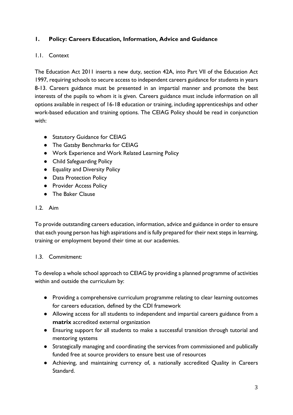# **1. Policy: Careers Education, Information, Advice and Guidance**

# 1.1. Context

The Education Act 2011 inserts a new duty, section 42A, into Part VII of the Education Act 1997, requiring schools to secure access to independent careers guidance for students in years 8-13. Careers guidance must be presented in an impartial manner and promote the best interests of the pupils to whom it is given. Careers guidance must include information on all options available in respect of 16-18 education or training, including apprenticeships and other work-based education and training options. The CEIAG Policy should be read in conjunction with:

- Statutory Guidance for CEIAG
- The Gatsby Benchmarks for CEIAG
- Work Experience and Work Related Learning Policy
- Child Safeguarding Policy
- Equality and Diversity Policy
- Data Protection Policy
- Provider Access Policy
- The Baker Clause

## 1.2. Aim

To provide outstanding careers education, information, advice and guidance in order to ensure that each young person has high aspirations and is fully prepared for their next steps in learning, training or employment beyond their time at our academies.

#### 1.3. Commitment:

To develop a whole school approach to CEIAG by providing a planned programme of activities within and outside the curriculum by:

- Providing a comprehensive curriculum programme relating to clear learning outcomes for careers education, defined by the CDI framework
- Allowing access for all students to independent and impartial careers guidance from a **matrix** accredited external organization
- Ensuring support for all students to make a successful transition through tutorial and mentoring systems
- Strategically managing and coordinating the services from commissioned and publically funded free at source providers to ensure best use of resources
- Achieving, and maintaining currency of, a nationally accredited Quality in Careers Standard.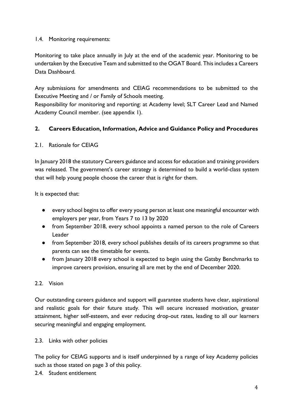#### 1.4. Monitoring requirements:

Monitoring to take place annually in July at the end of the academic year. Monitoring to be undertaken by the Executive Team and submitted to the OGAT Board. This includes a Careers Data Dashboard.

Any submissions for amendments and CEIAG recommendations to be submitted to the Executive Meeting and / or Family of Schools meeting.

Responsibility for monitoring and reporting: at Academy level; SLT Career Lead and Named Academy Council member. (see appendix 1).

## **2. Careers Education, Information, Advice and Guidance Policy and Procedures**

#### 2.1. Rationale for CEIAG

In January 2018 the statutory Careers guidance and access for education and training providers was released. The government's career strategy is determined to build a world-class system that will help young people choose the career that is right for them.

It is expected that:

- every school begins to offer every young person at least one meaningful encounter with employers per year, from Years 7 to 13 by 2020
- from September 2018, every school appoints a named person to the role of Careers Leader
- from September 2018, every school publishes details of its careers programme so that parents can see the timetable for events.
- from January 2018 every school is expected to begin using the Gatsby Benchmarks to improve careers provision, ensuring all are met by the end of December 2020.

## 2.2. Vision

Our outstanding careers guidance and support will guarantee students have clear, aspirational and realistic goals for their future study. This will secure increased motivation, greater attainment, higher self-esteem, and ever reducing drop-out rates, leading to all our learners securing meaningful and engaging employment.

#### 2.3. Links with other policies

The policy for CEIAG supports and is itself underpinned by a range of key Academy policies such as those stated on page 3 of this policy.

2.4. Student entitlement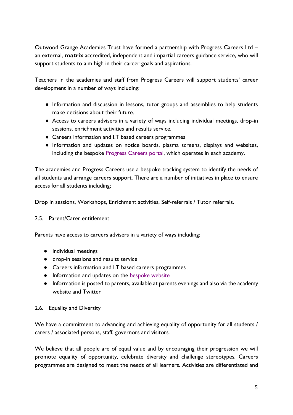Outwood Grange Academies Trust have formed a partnership with Progress Careers Ltd – an external, **matrix** accredited, independent and impartial careers guidance service, who will support students to aim high in their career goals and aspirations.

Teachers in the academies and staff from Progress Careers will support students' career development in a number of ways including:

- Information and discussion in lessons, tutor groups and assemblies to help students make decisions about their future.
- Access to careers advisers in a variety of ways including individual meetings, drop-in sessions, enrichment activities and results service.
- Careers information and I.T based careers programmes
- Information and updates on notice boards, plasma screens, displays and websites, including the bespoke [Progress Careers portal,](https://progress-education.org.uk/outwood-hemsworth/) which operates in each academy.

The academies and Progress Careers use a bespoke tracking system to identify the needs of all students and arrange careers support. There are a number of initiatives in place to ensure access for all students including;

Drop in sessions, Workshops, Enrichment activities, Self-referrals / Tutor referrals.

#### 2.5. Parent/Carer entitlement

Parents have access to careers advisers in a variety of ways including:

- individual meetings
- drop-in sessions and results service
- Careers information and I.T based careers programmes
- Information and updates on the [bespoke website](https://progress-education.org.uk/outwood-hemsworth/)
- Information is posted to parents, available at parents evenings and also via the academy website and Twitter

#### 2.6. Equality and Diversity

We have a commitment to advancing and achieving equality of opportunity for all students / carers / associated persons, staff, governors and visitors.

We believe that all people are of equal value and by encouraging their progression we will promote equality of opportunity, celebrate diversity and challenge stereotypes. Careers programmes are designed to meet the needs of all learners. Activities are differentiated and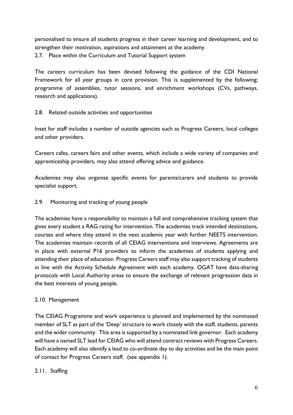personalised to ensure all students progress in their career learning and development, and to strengthen their motivation, aspirations and attainment at the academy.

2.7. Place within the Curriculum and Tutorial Support system

The careers curriculum has been devised following the guidance of the CDI National Framework for all year groups in core provision. This is supplemented by the following; programme of assemblies, tutor sessions, and enrichment workshops (CVs, pathways, research and applications).

## 2.8. Related outside activities and opportunities

Inset for staff includes a number of outside agencies such as Progress Careers, local colleges and other providers.

Careers cafes, careers fairs and other events, which include a wide variety of companies and apprenticeship providers, may also attend offering advice and guidance.

Academies may also organise specific events for parents/carers and students to provide specialist support.

## 2.9. Monitoring and tracking of young people

The academies have a responsibility to maintain a full and comprehensive tracking system that gives every student a RAG rating for intervention. The academies track intended destinations, courses and where they attend in the next academic year with further NEETS intervention. The academies maintain records of all CEIAG interventions and interviews. Agreements are in place with external P16 providers to inform the academies of students applying and attending their place of education. Progress Careers staff may also support tracking of students in line with the Activity Schedule Agreement with each academy. OGAT have data-sharing protocols with Local Authority areas to ensure the exchange of relevant progression data in the best interests of young people.

## 2.10. Management

The CEIAG Programme and work experience is planned and implemented by the nominated member of SLT as part of the 'Deep' structure to work closely with the staff, students, parents and the wider community. This area is supported by a nominated link governor. Each academy will have a named SLT lead for CEIAG who will attend contract reviews with Progress Careers. Each academy will also identify a lead to co-ordinate day to day activities and be the main point of contact for Progress Careers staff. (see appendix 1).

## 2.11. Staffing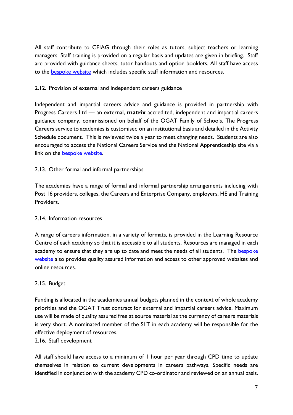All staff contribute to CEIAG through their roles as tutors, subject teachers or learning managers. Staff training is provided on a regular basis and updates are given in briefing. Staff are provided with guidance sheets, tutor handouts and option booklets. All staff have access to the [bespoke website](https://progress-education.org.uk/outwood-hemsworth/) which includes specific staff information and resources.

#### 2.12. Provision of external and Independent careers guidance

Independent and impartial careers advice and guidance is provided in partnership with Progress Careers Ltd –– an external, **matrix** accredited, independent and impartial careers guidance company, commissioned on behalf of the OGAT Family of Schools. The Progress Careers service to academies is customised on an institutional basis and detailed in the Activity Schedule document. This is reviewed twice a year to meet changing needs. Students are also encouraged to access the National Careers Service and the National Apprenticeship site via a link on the [bespoke website.](https://progress-education.org.uk/outwood-hemsworth/)

## 2.13. Other formal and informal partnerships

The academies have a range of formal and informal partnership arrangements including with Post 16 providers, colleges, the Careers and Enterprise Company, employers, HE and Training Providers.

#### 2.14. Information resources

A range of careers information, in a variety of formats, is provided in the Learning Resource Centre of each academy so that it is accessible to all students. Resources are managed in each academy to ensure that they are up to date and meet the needs of all students. The bespoke [website](https://progress-education.org.uk/outwood-hemsworth/) also provides quality assured information and access to other approved websites and online resources.

#### 2.15. Budget

Funding is allocated in the academies annual budgets planned in the context of whole academy priorities and the OGAT Trust contract for external and impartial careers advice. Maximum use will be made of quality assured free at source material as the currency of careers materials is very short. A nominated member of the SLT in each academy will be responsible for the effective deployment of resources.

#### 2.16. Staff development

All staff should have access to a minimum of 1 hour per year through CPD time to update themselves in relation to current developments in careers pathways. Specific needs are identified in conjunction with the academy CPD co-ordinator and reviewed on an annual basis.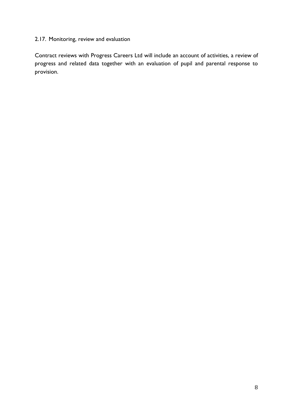# 2.17. Monitoring, review and evaluation

Contract reviews with Progress Careers Ltd will include an account of activities, a review of progress and related data together with an evaluation of pupil and parental response to provision.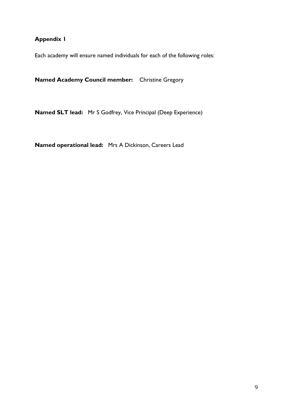# **Appendix 1**

Each academy will ensure named individuals for each of the following roles:

**Named Academy Council member:** Christine Gregory

**Named SLT lead:** Mr S Godfrey, Vice Principal (Deep Experience)

**Named operational lead:** Mrs A Dickinson, Careers Lead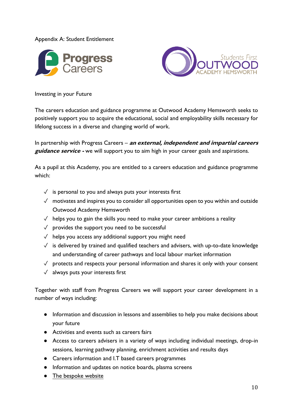Appendix A: Student Entitlement





Investing in your Future

The careers education and guidance programme at Outwood Academy Hemsworth seeks to positively support you to acquire the educational, social and employability skills necessary for lifelong success in a diverse and changing world of work.

In partnership with Progress Careers – **an external, independent and impartial careers guidance service -** we will support you to aim high in your career goals and aspirations.

As a pupil at this Academy, you are entitled to a careers education and guidance programme which:

- $\sqrt{\ }$  is personal to you and always puts your interests first
- $\sqrt{ }$  motivates and inspires you to consider all opportunities open to you within and outside Outwood Academy Hemsworth
- $\sqrt{\ }$  helps you to gain the skills you need to make your career ambitions a reality
- $\sqrt{\ }$  provides the support you need to be successful
- ✓ helps you access any additional support you might need
- ✓ is delivered by trained and qualified teachers and advisers, with up-to-date knowledge and understanding of career pathways and local labour market information
- $\sqrt{ }$  protects and respects your personal information and shares it only with your consent
- $\sqrt{\phantom{a}}$  always puts your interests first

Together with staff from Progress Careers we will support your career development in a number of ways including:

- Information and discussion in lessons and assemblies to help you make decisions about your future
- Activities and events such as careers fairs
- Access to careers advisers in a variety of ways including individual meetings, drop-in sessions, learning pathway planning, enrichment activities and results days
- Careers information and I.T based careers programmes
- Information and updates on notice boards, plasma screens
- [The bespoke website](https://progress-education.org.uk/outwood-hemsworth/)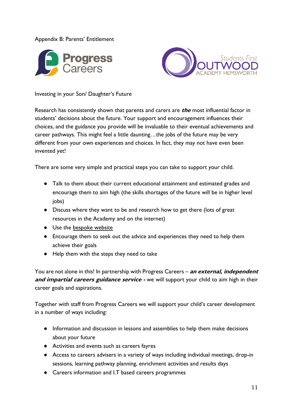#### Appendix B: Parents' Entitlement





Investing in your Son/ Daughter's Future

Research has consistently shown that parents and carers are **the** most influential factor in students' decisions about the future. Your support and encouragement influences their choices, and the guidance you provide will be invaluable to their eventual achievements and career pathways. This might feel a little daunting…the jobs of the future may be very different from your own experiences and choices. In fact, they may not have even been invented yet!

There are some very simple and practical steps you can take to support your child.

- Talk to them about their current educational attainment and estimated grades and encourage them to aim high (the skills shortages of the future will be in higher level jobs)
- Discuss where they want to be and research how to get there (lots of great resources in the Academy and on the internet)
- Use the [bespoke website](https://progress-education.org.uk/outwood-hemsworth/)
- Encourage them to seek out the advice and experiences they need to help them achieve their goals
- Help them with the steps they need to take

You are not alone in this! In partnership with Progress Careers – **an external, independent**  and *impartial careers guidance service* - we will support your child to aim high in their career goals and aspirations.

Together with staff from Progress Careers we will support your child's career development in a number of ways including:

- Information and discussion in lessons and assemblies to help them make decisions about your future
- Activities and events such as careers fayres
- Access to careers advisers in a variety of ways including individual meetings, drop-in sessions, learning pathway planning, enrichment activities and results days
- Careers information and I.T based careers programmes